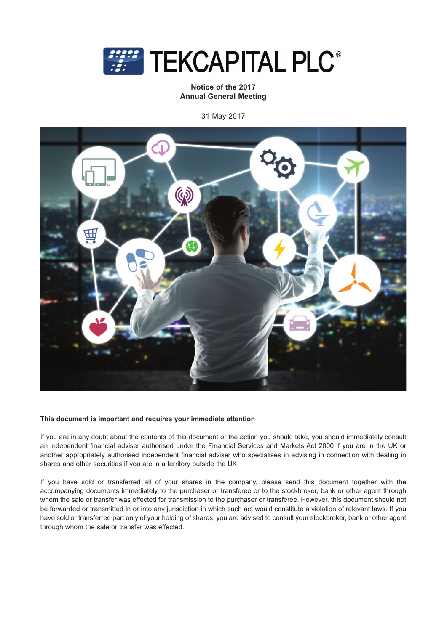

**Notice of the 2017 Annual General Meeting**

31 May 2017



### **This document is important and requires your immediate attention**

If you are in any doubt about the contents of this document or the action you should take, you should immediately consult an independent financial adviser authorised under the Financial Services and Markets Act 2000 if you are in the UK or another appropriately authorised independent financial adviser who specialises in advising in connection with dealing in shares and other securities if you are in a territory outside the UK.

If you have sold or transferred all of your shares in the company, please send this document together with the accompanying documents immediately to the purchaser or transferee or to the stockbroker, bank or other agent through whom the sale or transfer was effected for transmission to the purchaser or transferee. However, this document should not be forwarded or transmitted in or into any jurisdiction in which such act would constitute a violation of relevant laws. If you have sold or transferred part only of your holding of shares, you are advised to consult your stockbroker, bank or other agent through whom the sale or transfer was effected.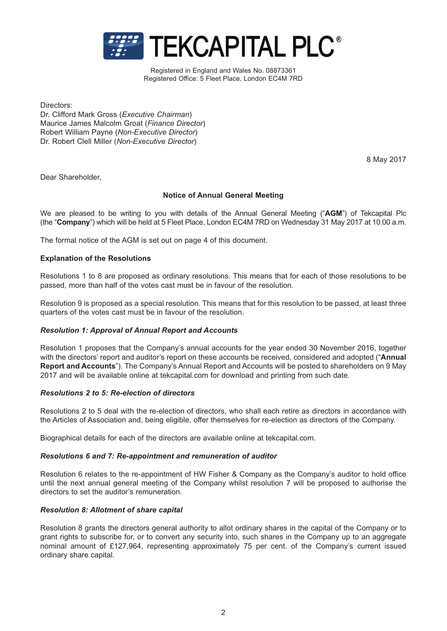

Registered in England and Wales No. 08873361 Registered Office: 5 Fleet Place, London EC4M 7RD

Directors:

Dr. Clifford Mark Gross (*Executive Chairman*) Maurice James Malcolm Groat (*Finance Director*) Robert William Payne (*Non-Executive Director*) Dr. Robert Clell Miller (*Non-Executive Director*)

8 May 2017

Dear Shareholder,

# **Notice of Annual General Meeting**

We are pleased to be writing to you with details of the Annual General Meeting ("**AGM**") of Tekcapital Plc (the "**Company**") which will be held at 5 Fleet Place, London EC4M 7RD on Wednesday 31 May 2017 at 10.00 a.m.

The formal notice of the AGM is set out on page 4 of this document.

## **Explanation of the Resolutions**

Resolutions 1 to 8 are proposed as ordinary resolutions. This means that for each of those resolutions to be passed, more than half of the votes cast must be in favour of the resolution.

Resolution 9 is proposed as a special resolution. This means that for this resolution to be passed, at least three quarters of the votes cast must be in favour of the resolution.

# *Resolution 1: Approval of Annual Report and Accounts*

Resolution 1 proposes that the Company's annual accounts for the year ended 30 November 2016, together with the directors' report and auditor's report on these accounts be received, considered and adopted ("**Annual Report and Accounts**"). The Company's Annual Report and Accounts will be posted to shareholders on 9 May 2017 and will be available online at tekcapital.com for download and printing from such date.

### *Resolutions 2 to 5: Re-election of directors*

Resolutions 2 to 5 deal with the re-election of directors, who shall each retire as directors in accordance with the Articles of Association and, being eligible, offer themselves for re-election as directors of the Company.

Biographical details for each of the directors are available online at tekcapital.com.

### *Resolutions 6 and 7: Re-appointment and remuneration of auditor*

Resolution 6 relates to the re-appointment of HW Fisher & Company as the Company's auditor to hold office until the next annual general meeting of the Company whilst resolution 7 will be proposed to authorise the directors to set the auditor's remuneration.

# *Resolution 8: Allotment of share capital*

Resolution 8 grants the directors general authority to allot ordinary shares in the capital of the Company or to grant rights to subscribe for, or to convert any security into, such shares in the Company up to an aggregate nominal amount of £127,964, representing approximately 75 per cent. of the Company's current issued ordinary share capital.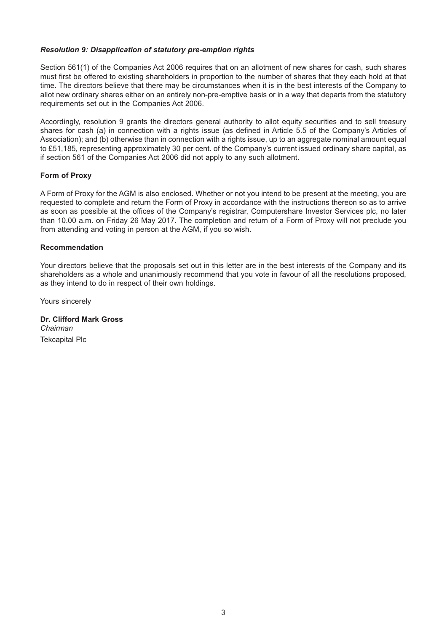# *Resolution 9: Disapplication of statutory pre-emption rights*

Section 561(1) of the Companies Act 2006 requires that on an allotment of new shares for cash, such shares must first be offered to existing shareholders in proportion to the number of shares that they each hold at that time. The directors believe that there may be circumstances when it is in the best interests of the Company to allot new ordinary shares either on an entirely non-pre-emptive basis or in a way that departs from the statutory requirements set out in the Companies Act 2006.

Accordingly, resolution 9 grants the directors general authority to allot equity securities and to sell treasury shares for cash (a) in connection with a rights issue (as defined in Article 5.5 of the Company's Articles of Association); and (b) otherwise than in connection with a rights issue, up to an aggregate nominal amount equal to £51,185, representing approximately 30 per cent. of the Company's current issued ordinary share capital, as if section 561 of the Companies Act 2006 did not apply to any such allotment.

# **Form of Proxy**

A Form of Proxy for the AGM is also enclosed. Whether or not you intend to be present at the meeting, you are requested to complete and return the Form of Proxy in accordance with the instructions thereon so as to arrive as soon as possible at the offices of the Company's registrar, Computershare Investor Services plc, no later than 10.00 a.m. on Friday 26 May 2017. The completion and return of a Form of Proxy will not preclude you from attending and voting in person at the AGM, if you so wish.

## **Recommendation**

Your directors believe that the proposals set out in this letter are in the best interests of the Company and its shareholders as a whole and unanimously recommend that you vote in favour of all the resolutions proposed, as they intend to do in respect of their own holdings.

Yours sincerely

**Dr. Clifford Mark Gross** Chairman *Chairman* Tekcapital Plc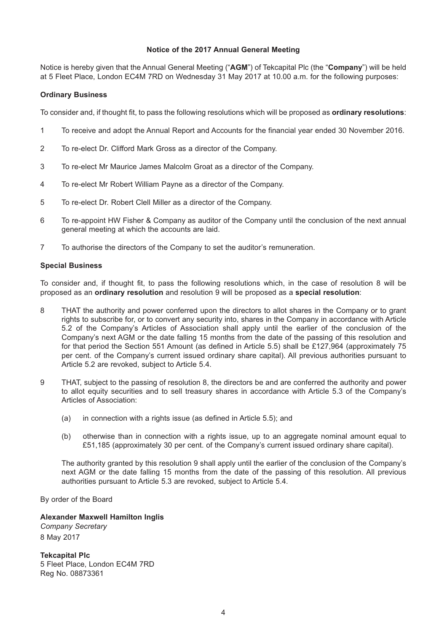# **Notice of the 2017 Annual General Meeting**

Notice is hereby given that the Annual General Meeting ("**AGM**") of Tekcapital Plc (the "**Company**") will be held at 5 Fleet Place, London EC4M 7RD on Wednesday 31 May 2017 at 10.00 a.m. for the following purposes:

## **Ordinary Business**

To consider and, if thought fit, to pass the following resolutions which will be proposed as **ordinary resolutions**:

- 1 To receive and adopt the Annual Report and Accounts for the financial year ended 30 November 2016.
- 2 To re-elect Dr. Clifford Mark Gross as a director of the Company.
- 3 To re-elect Mr Maurice James Malcolm Groat as a director of the Company.
- 4 To re-elect Mr Robert William Payne as a director of the Company.
- 5 To re-elect Dr. Robert Clell Miller as a director of the Company.
- 6 To re-appoint HW Fisher & Company as auditor of the Company until the conclusion of the next annual general meeting at which the accounts are laid.
- 7 To authorise the directors of the Company to set the auditor's remuneration.

## **Special Business**

To consider and, if thought fit, to pass the following resolutions which, in the case of resolution 8 will be proposed as an **ordinary resolution** and resolution 9 will be proposed as a **special resolution**:

- 8 THAT the authority and power conferred upon the directors to allot shares in the Company or to grant rights to subscribe for, or to convert any security into, shares in the Company in accordance with Article 5.2 of the Company's Articles of Association shall apply until the earlier of the conclusion of the Company's next AGM or the date falling 15 months from the date of the passing of this resolution and for that period the Section 551 Amount (as defined in Article 5.5) shall be £127,964 (approximately 75 per cent. of the Company's current issued ordinary share capital). All previous authorities pursuant to Article 5.2 are revoked, subject to Article 5.4.
- 9 THAT, subject to the passing of resolution 8, the directors be and are conferred the authority and power to allot equity securities and to sell treasury shares in accordance with Article 5.3 of the Company's Articles of Association:
	- (a) in connection with a rights issue (as defined in Article 5.5); and
	- (b) otherwise than in connection with a rights issue, up to an aggregate nominal amount equal to £51,185 (approximately 30 per cent. of the Company's current issued ordinary share capital).

The authority granted by this resolution 9 shall apply until the earlier of the conclusion of the Company's next AGM or the date falling 15 months from the date of the passing of this resolution. All previous authorities pursuant to Article 5.3 are revoked, subject to Article 5.4.

By order of the Board

**Alexander Maxwell Hamilton Inglis** *Company Secretary* 8 May 2017

**Tekcapital Plc** 5 Fleet Place, London EC4M 7RD Reg No. 08873361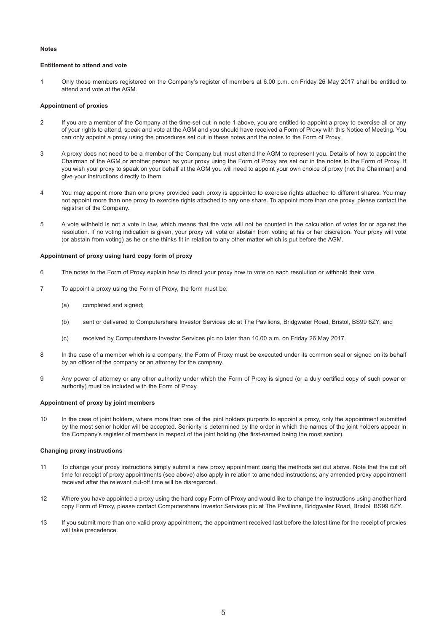#### **Notes**

### **Entitlement to attend and vote**

1 Only those members registered on the Company's register of members at 6.00 p.m. on Friday 26 May 2017 shall be entitled to attend and vote at the AGM.

#### **Appointment of proxies**

- 2 If you are a member of the Company at the time set out in note 1 above, you are entitled to appoint a proxy to exercise all or any of your rights to attend, speak and vote at the AGM and you should have received a Form of Proxy with this Notice of Meeting. You can only appoint a proxy using the procedures set out in these notes and the notes to the Form of Proxy.
- 3 A proxy does not need to be a member of the Company but must attend the AGM to represent you. Details of how to appoint the Chairman of the AGM or another person as your proxy using the Form of Proxy are set out in the notes to the Form of Proxy. If you wish your proxy to speak on your behalf at the AGM you will need to appoint your own choice of proxy (not the Chairman) and give your instructions directly to them.
- 4 You may appoint more than one proxy provided each proxy is appointed to exercise rights attached to different shares. You may not appoint more than one proxy to exercise rights attached to any one share. To appoint more than one proxy, please contact the registrar of the Company.
- 5 A vote withheld is not a vote in law, which means that the vote will not be counted in the calculation of votes for or against the resolution. If no voting indication is given, your proxy will vote or abstain from voting at his or her discretion. Your proxy will vote (or abstain from voting) as he or she thinks fit in relation to any other matter which is put before the AGM.

#### **Appointment of proxy using hard copy form of proxy**

- 6 The notes to the Form of Proxy explain how to direct your proxy how to vote on each resolution or withhold their vote.
- 7 To appoint a proxy using the Form of Proxy, the form must be:
	- (a) completed and signed;
	- (b) sent or delivered to Computershare Investor Services plc at The Pavilions, Bridgwater Road, Bristol, BS99 6ZY; and
	- (c) received by Computershare Investor Services plc no later than 10.00 a.m. on Friday 26 May 2017.
- 8 In the case of a member which is a company, the Form of Proxy must be executed under its common seal or signed on its behalf by an officer of the company or an attorney for the company.
- 9 Any power of attorney or any other authority under which the Form of Proxy is signed (or a duly certified copy of such power or authority) must be included with the Form of Proxy.

#### **Appointment of proxy by joint members**

10 In the case of joint holders, where more than one of the joint holders purports to appoint a proxy, only the appointment submitted by the most senior holder will be accepted. Seniority is determined by the order in which the names of the joint holders appear in the Company's register of members in respect of the joint holding (the first-named being the most senior).

#### **Changing proxy instructions**

- 11 To change your proxy instructions simply submit a new proxy appointment using the methods set out above. Note that the cut off time for receipt of proxy appointments (see above) also apply in relation to amended instructions; any amended proxy appointment received after the relevant cut-off time will be disregarded.
- 12 Where you have appointed a proxy using the hard copy Form of Proxy and would like to change the instructions using another hard copy Form of Proxy, please contact Computershare Investor Services plc at The Pavilions, Bridgwater Road, Bristol, BS99 6ZY.
- 13 If you submit more than one valid proxy appointment, the appointment received last before the latest time for the receipt of proxies will take precedence.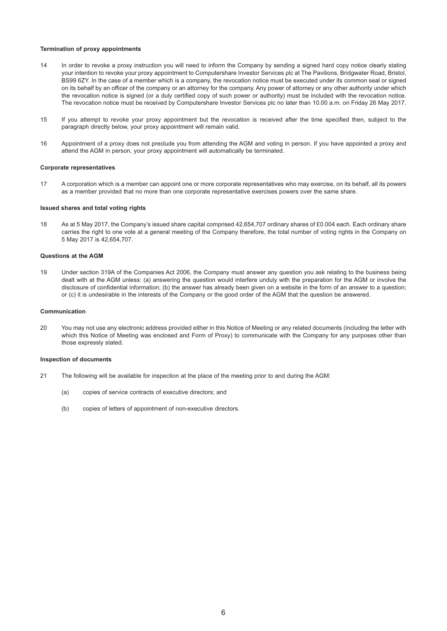#### **Termination of proxy appointments**

- 14 In order to revoke a proxy instruction you will need to inform the Company by sending a signed hard copy notice clearly stating your intention to revoke your proxy appointment to Computershare Investor Services plc at The Pavilions, Bridgwater Road, Bristol, BS99 6ZY. In the case of a member which is a company, the revocation notice must be executed under its common seal or signed on its behalf by an officer of the company or an attorney for the company. Any power of attorney or any other authority under which the revocation notice is signed (or a duly certified copy of such power or authority) must be included with the revocation notice. The revocation notice must be received by Computershare Investor Services plc no later than 10.00 a.m. on Friday 26 May 2017.
- 15 If you attempt to revoke your proxy appointment but the revocation is received after the time specified then, subject to the paragraph directly below, your proxy appointment will remain valid.
- 16 Appointment of a proxy does not preclude you from attending the AGM and voting in person. If you have appointed a proxy and attend the AGM in person, your proxy appointment will automatically be terminated.

#### **Corporate representatives**

17 A corporation which is a member can appoint one or more corporate representatives who may exercise, on its behalf, all its powers as a member provided that no more than one corporate representative exercises powers over the same share.

#### **Issued shares and total voting rights**

18 As at 5 May 2017, the Company's issued share capital comprised 42,654,707 ordinary shares of £0.004 each. Each ordinary share carries the right to one vote at a general meeting of the Company therefore, the total number of voting rights in the Company on 5 May 2017 is 42,654,707.

### **Questions at the AGM**

19 Under section 319A of the Companies Act 2006, the Company must answer any question you ask relating to the business being dealt with at the AGM unless: (a) answering the question would interfere unduly with the preparation for the AGM or involve the disclosure of confidential information; (b) the answer has already been given on a website in the form of an answer to a question; or (c) it is undesirable in the interests of the Company or the good order of the AGM that the question be answered.

#### **Communication**

20 You may not use any electronic address provided either in this Notice of Meeting or any related documents (including the letter with which this Notice of Meeting was enclosed and Form of Proxy) to communicate with the Company for any purposes other than those expressly stated.

#### **Inspection of documents**

- 21 The following will be available for inspection at the place of the meeting prior to and during the AGM:
	- (a) copies of service contracts of executive directors; and
	- (b) copies of letters of appointment of non-executive directors.